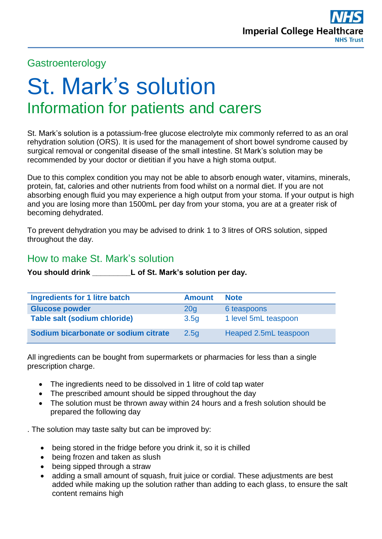## **Gastroenterology**

# St. Mark's solution Information for patients and carers

St. Mark's solution is a potassium-free glucose electrolyte mix commonly referred to as an oral rehydration solution (ORS). It is used for the management of short bowel syndrome caused by surgical removal or congenital disease of the small intestine. St Mark's solution may be recommended by your doctor or dietitian if you have a high stoma output.

Due to this complex condition you may not be able to absorb enough water, vitamins, minerals, protein, fat, calories and other nutrients from food whilst on a normal diet. If you are not absorbing enough fluid you may experience a high output from your stoma. If your output is high and you are losing more than 1500mL per day from your stoma, you are at a greater risk of becoming dehydrated.

To prevent dehydration you may be advised to drink 1 to 3 litres of ORS solution, sipped throughout the day.

#### How to make St. Mark's solution

**You should drink \_\_\_\_\_\_\_\_\_L of St. Mark's solution per day.**

| <b>Ingredients for 1 litre batch</b> | <b>Amount</b>    | <b>Note</b>           |
|--------------------------------------|------------------|-----------------------|
| <b>Glucose powder</b>                | 20 <sub>q</sub>  | 6 teaspoons           |
| <b>Table salt (sodium chloride)</b>  | 3.5 <sub>q</sub> | 1 level 5mL teaspoon  |
| Sodium bicarbonate or sodium citrate | 2.5q             | Heaped 2.5mL teaspoon |

All ingredients can be bought from supermarkets or pharmacies for less than a single prescription charge.

- The ingredients need to be dissolved in 1 litre of cold tap water
- The prescribed amount should be sipped throughout the day
- The solution must be thrown away within 24 hours and a fresh solution should be prepared the following day

. The solution may taste salty but can be improved by:

- being stored in the fridge before you drink it, so it is chilled
- being frozen and taken as slush
- being sipped through a straw
- adding a small amount of squash, fruit juice or cordial. These adjustments are best added while making up the solution rather than adding to each glass, to ensure the salt content remains high